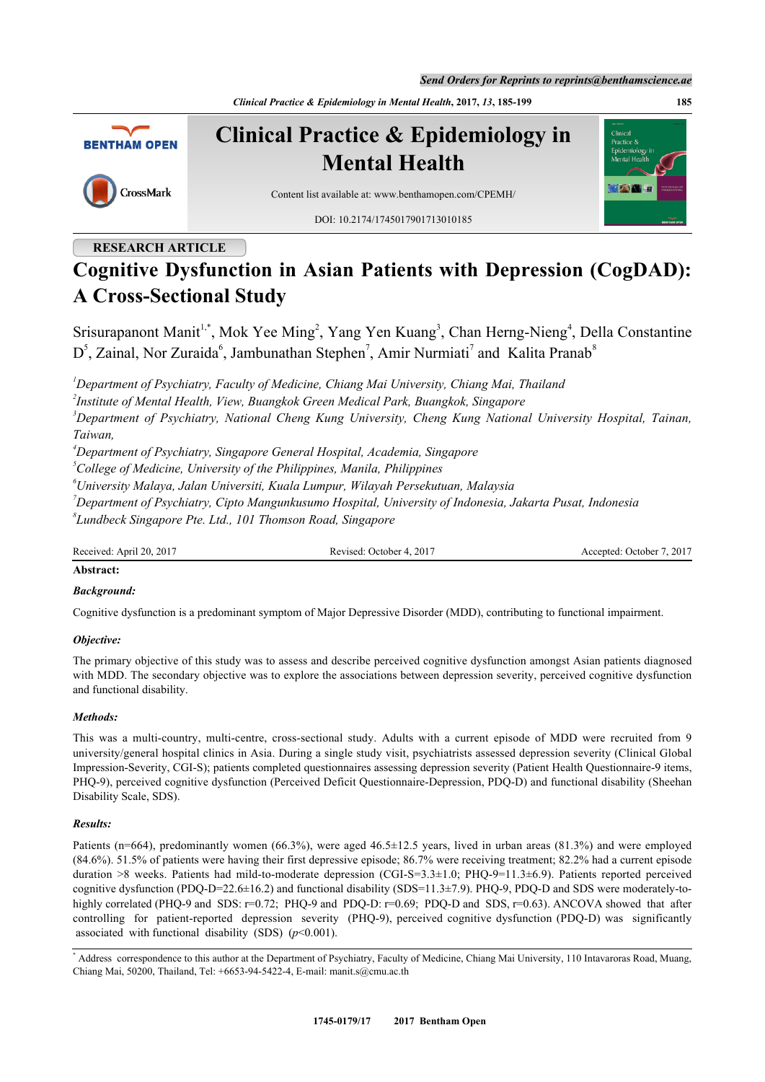*Send Orders for Reprints to reprints@benthamscience.ae*

*Clinical Practice & Epidemiology in Mental Health***, 2017,** *13***, 185-199 185**



# **RESEARCH ARTICLE**

# **Cognitive Dysfunction in Asian Patients with Depression (CogDAD): A Cross-Sectional Study**

Srisurapanont Manit<sup>[1](#page-0-0),[\\*](#page-0-1)</sup>, Mok Yee Ming<sup>[2](#page-0-2)</sup>, Yang Yen Kuang<sup>[3](#page-0-3)</sup>, Chan Herng-Nieng<sup>[4](#page-0-4)</sup>, Della Constantine  $D^5$  $D^5$ , Zainal, Nor Zuraida<sup>[6](#page-0-6)</sup>, Jambunathan Stephen<sup>[7](#page-0-7)</sup>, Amir Nurmiati<sup>7</sup> and Kalita Pranab<sup>[8](#page-0-8)</sup>

<span id="page-0-0"></span>*<sup>1</sup>Department of Psychiatry, Faculty of Medicine, Chiang Mai University, Chiang Mai, Thailand*

<span id="page-0-2"></span>*2 Institute of Mental Health, View, Buangkok Green Medical Park, Buangkok, Singapore*

<span id="page-0-3"></span>*<sup>3</sup>Department of Psychiatry, National Cheng Kung University, Cheng Kung National University Hospital, Tainan, Taiwan,*

<span id="page-0-4"></span>*<sup>4</sup>Department of Psychiatry, Singapore General Hospital, Academia, Singapore*

<span id="page-0-5"></span>*<sup>5</sup>College of Medicine, University of the Philippines, Manila, Philippines*

<span id="page-0-6"></span>*<sup>6</sup>University Malaya, Jalan Universiti, Kuala Lumpur, Wilayah Persekutuan, Malaysia*

<span id="page-0-7"></span>*<sup>7</sup>Department of Psychiatry, Cipto Mangunkusumo Hospital, University of Indonesia, Jakarta Pusat, Indonesia*

<span id="page-0-8"></span>*8 Lundbeck Singapore Pte. Ltd., 101 Thomson Road, Singapore*

Received: April 20, 2017 Revised: October 4, 2017 Accepted: October 7, 2017

## **Abstract:**

## *Background:*

Cognitive dysfunction is a predominant symptom of Major Depressive Disorder (MDD), contributing to functional impairment.

## *Objective:*

The primary objective of this study was to assess and describe perceived cognitive dysfunction amongst Asian patients diagnosed with MDD. The secondary objective was to explore the associations between depression severity, perceived cognitive dysfunction and functional disability.

## *Methods:*

This was a multi-country, multi-centre, cross-sectional study. Adults with a current episode of MDD were recruited from 9 university/general hospital clinics in Asia. During a single study visit, psychiatrists assessed depression severity (Clinical Global Impression-Severity, CGI-S); patients completed questionnaires assessing depression severity (Patient Health Questionnaire-9 items, PHQ-9), perceived cognitive dysfunction (Perceived Deficit Questionnaire-Depression, PDQ-D) and functional disability (Sheehan Disability Scale, SDS).

## *Results:*

Patients (n=664), predominantly women (66.3%), were aged 46.5±12.5 years, lived in urban areas (81.3%) and were employed (84.6%). 51.5% of patients were having their first depressive episode; 86.7% were receiving treatment; 82.2% had a current episode duration >8 weeks. Patients had mild-to-moderate depression (CGI-S=3.3±1.0; PHQ-9=11.3±6.9). Patients reported perceived cognitive dysfunction (PDQ-D=22.6±16.2) and functional disability (SDS=11.3±7.9). PHQ-9, PDQ-D and SDS were moderately-tohighly correlated (PHQ-9 and SDS: r=0.72; PHQ-9 and PDQ-D: r=0.69; PDQ-D and SDS, r=0.63). ANCOVA showed that after controlling for patient-reported depression severity (PHQ-9), perceived cognitive dysfunction (PDQ-D) was significantly associated with functional disability (SDS) (*p*<0.001).

<span id="page-0-1"></span><sup>\*</sup> Address correspondence to this author at the Department of Psychiatry, Faculty of Medicine, Chiang Mai University, 110 Intavaroras Road, Muang, Chiang Mai, 50200, Thailand, Tel: +6653-94-5422-4, E-mail: [manit.s@cmu.ac.th](mailto:manit.s@cmu.ac.th)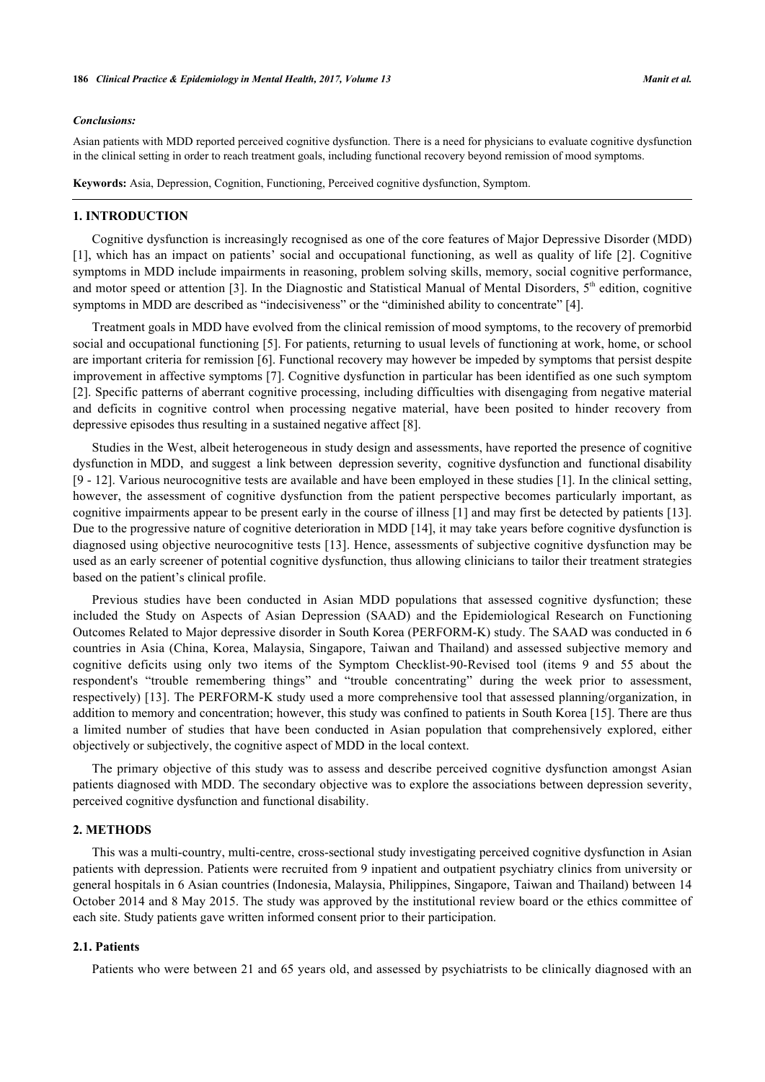#### *Conclusions:*

Asian patients with MDD reported perceived cognitive dysfunction. There is a need for physicians to evaluate cognitive dysfunction in the clinical setting in order to reach treatment goals, including functional recovery beyond remission of mood symptoms.

**Keywords:** Asia, Depression, Cognition, Functioning, Perceived cognitive dysfunction, Symptom.

#### **1. INTRODUCTION**

Cognitive dysfunction is increasingly recognised as one of the core features of Major Depressive Disorder (MDD) [\[1](#page-12-0)], which has an impact on patients' social and occupational functioning, as well as quality of life [[2\]](#page-12-1). Cognitive symptoms in MDD include impairments in reasoning, problem solving skills, memory, social cognitive performance, and motor speed or attention [[3\]](#page-12-2). In the Diagnostic and Statistical Manual of Mental Disorders,  $5<sup>th</sup>$  edition, cognitive symptoms in MDD are described as "indecisiveness" or the "diminished ability to concentrate" [[4\]](#page-12-3).

Treatment goals in MDD have evolved from the clinical remission of mood symptoms, to the recovery of premorbid social and occupational functioning [[5\]](#page-12-4). For patients, returning to usual levels of functioning at work, home, or school are important criteria for remission [[6\]](#page-12-5). Functional recovery may however be impeded by symptoms that persist despite improvement in affective symptoms [[7\]](#page-12-6). Cognitive dysfunction in particular has been identified as one such symptom [\[2](#page-12-1)]. Specific patterns of aberrant cognitive processing, including difficulties with disengaging from negative material and deficits in cognitive control when processing negative material, have been posited to hinder recovery from depressive episodes thus resulting in a sustained negative affect [[8\]](#page-12-7).

Studies in the West, albeit heterogeneous in study design and assessments, have reported the presence of cognitive dysfunction in MDD, and suggest a link between depression severity, cognitive dysfunction and functional disability [\[9](#page-12-8) - [12\]](#page-13-0). Various neurocognitive tests are available and have been employed in these studies [[1\]](#page-12-0). In the clinical setting, however, the assessment of cognitive dysfunction from the patient perspective becomes particularly important, as cognitive impairments appear to be present early in the course of illness [[1\]](#page-12-0) and may first be detected by patients [[13\]](#page-13-1). Due to the progressive nature of cognitive deterioration in MDD [\[14](#page-13-2)], it may take years before cognitive dysfunction is diagnosed using objective neurocognitive tests [\[13](#page-13-1)]. Hence, assessments of subjective cognitive dysfunction may be used as an early screener of potential cognitive dysfunction, thus allowing clinicians to tailor their treatment strategies based on the patient's clinical profile.

Previous studies have been conducted in Asian MDD populations that assessed cognitive dysfunction; these included the Study on Aspects of Asian Depression (SAAD) and the Epidemiological Research on Functioning Outcomes Related to Major depressive disorder in South Korea (PERFORM-K) study. The SAAD was conducted in 6 countries in Asia (China, Korea, Malaysia, Singapore, Taiwan and Thailand) and assessed subjective memory and cognitive deficits using only two items of the Symptom Checklist-90-Revised tool (items 9 and 55 about the respondent's "trouble remembering things" and "trouble concentrating" during the week prior to assessment, respectively) [\[13](#page-13-1)]. The PERFORM-K study used a more comprehensive tool that assessed planning/organization, in addition to memory and concentration; however, this study was confined to patients in South Korea [[15\]](#page-13-3). There are thus a limited number of studies that have been conducted in Asian population that comprehensively explored, either objectively or subjectively, the cognitive aspect of MDD in the local context.

The primary objective of this study was to assess and describe perceived cognitive dysfunction amongst Asian patients diagnosed with MDD. The secondary objective was to explore the associations between depression severity, perceived cognitive dysfunction and functional disability.

#### **2. METHODS**

This was a multi-country, multi-centre, cross-sectional study investigating perceived cognitive dysfunction in Asian patients with depression. Patients were recruited from 9 inpatient and outpatient psychiatry clinics from university or general hospitals in 6 Asian countries (Indonesia, Malaysia, Philippines, Singapore, Taiwan and Thailand) between 14 October 2014 and 8 May 2015. The study was approved by the institutional review board or the ethics committee of each site. Study patients gave written informed consent prior to their participation.

#### **2.1. Patients**

Patients who were between 21 and 65 years old, and assessed by psychiatrists to be clinically diagnosed with an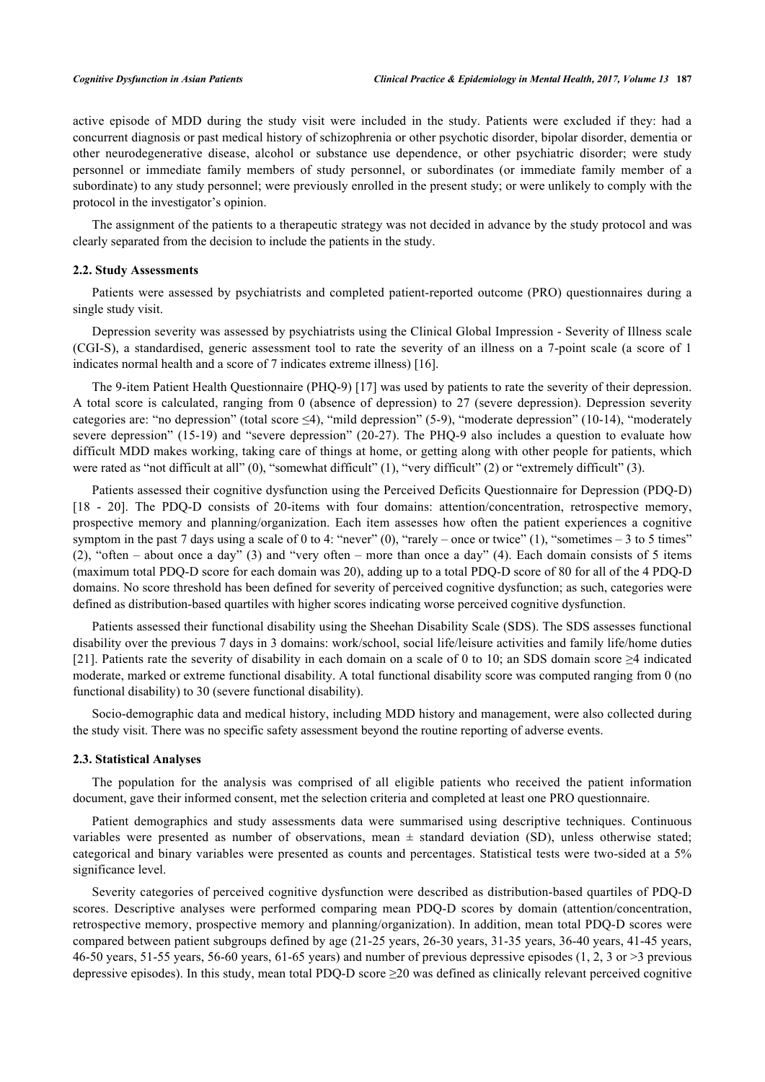active episode of MDD during the study visit were included in the study. Patients were excluded if they: had a concurrent diagnosis or past medical history of schizophrenia or other psychotic disorder, bipolar disorder, dementia or other neurodegenerative disease, alcohol or substance use dependence, or other psychiatric disorder; were study personnel or immediate family members of study personnel, or subordinates (or immediate family member of a subordinate) to any study personnel; were previously enrolled in the present study; or were unlikely to comply with the protocol in the investigator's opinion.

The assignment of the patients to a therapeutic strategy was not decided in advance by the study protocol and was clearly separated from the decision to include the patients in the study.

#### **2.2. Study Assessments**

Patients were assessed by psychiatrists and completed patient-reported outcome (PRO) questionnaires during a single study visit.

Depression severity was assessed by psychiatrists using the Clinical Global Impression - Severity of Illness scale (CGI-S), a standardised, generic assessment tool to rate the severity of an illness on a 7-point scale (a score of 1 indicates normal health and a score of 7 indicates extreme illness) [[16\]](#page-13-4).

The 9-item Patient Health Questionnaire (PHQ-9) [[17](#page-13-5)] was used by patients to rate the severity of their depression. A total score is calculated, ranging from 0 (absence of depression) to 27 (severe depression). Depression severity categories are: "no depression" (total score ≤4), "mild depression" (5-9), "moderate depression" (10-14), "moderately severe depression" (15-19) and "severe depression" (20-27). The PHQ-9 also includes a question to evaluate how difficult MDD makes working, taking care of things at home, or getting along with other people for patients, which were rated as "not difficult at all" (0), "somewhat difficult" (1), "very difficult" (2) or "extremely difficult" (3).

Patients assessed their cognitive dysfunction using the Perceived Deficits Questionnaire for Depression (PDQ-D) [\[18](#page-13-6) - [20](#page-13-7)]. The PDQ-D consists of 20-items with four domains: attention/concentration, retrospective memory, prospective memory and planning/organization. Each item assesses how often the patient experiences a cognitive symptom in the past 7 days using a scale of 0 to 4: "never"  $(0)$ , "rarely – once or twice"  $(1)$ , "sometimes – 3 to 5 times" (2), "often – about once a day" (3) and "very often – more than once a day" (4). Each domain consists of 5 items (maximum total PDQ-D score for each domain was 20), adding up to a total PDQ-D score of 80 for all of the 4 PDQ-D domains. No score threshold has been defined for severity of perceived cognitive dysfunction; as such, categories were defined as distribution-based quartiles with higher scores indicating worse perceived cognitive dysfunction.

Patients assessed their functional disability using the Sheehan Disability Scale (SDS). The SDS assesses functional disability over the previous 7 days in 3 domains: work/school, social life/leisure activities and family life/home duties [\[21](#page-13-8)]. Patients rate the severity of disability in each domain on a scale of 0 to 10; an SDS domain score ≥4 indicated moderate, marked or extreme functional disability. A total functional disability score was computed ranging from 0 (no functional disability) to 30 (severe functional disability).

Socio-demographic data and medical history, including MDD history and management, were also collected during the study visit. There was no specific safety assessment beyond the routine reporting of adverse events.

#### **2.3. Statistical Analyses**

The population for the analysis was comprised of all eligible patients who received the patient information document, gave their informed consent, met the selection criteria and completed at least one PRO questionnaire.

Patient demographics and study assessments data were summarised using descriptive techniques. Continuous variables were presented as number of observations, mean  $\pm$  standard deviation (SD), unless otherwise stated; categorical and binary variables were presented as counts and percentages. Statistical tests were two-sided at a 5% significance level.

Severity categories of perceived cognitive dysfunction were described as distribution-based quartiles of PDQ-D scores. Descriptive analyses were performed comparing mean PDQ-D scores by domain (attention/concentration, retrospective memory, prospective memory and planning/organization). In addition, mean total PDQ-D scores were compared between patient subgroups defined by age (21-25 years, 26-30 years, 31-35 years, 36-40 years, 41-45 years, 46-50 years, 51-55 years, 56-60 years, 61-65 years) and number of previous depressive episodes (1, 2, 3 or >3 previous depressive episodes). In this study, mean total PDQ-D score  $\geq$ 20 was defined as clinically relevant perceived cognitive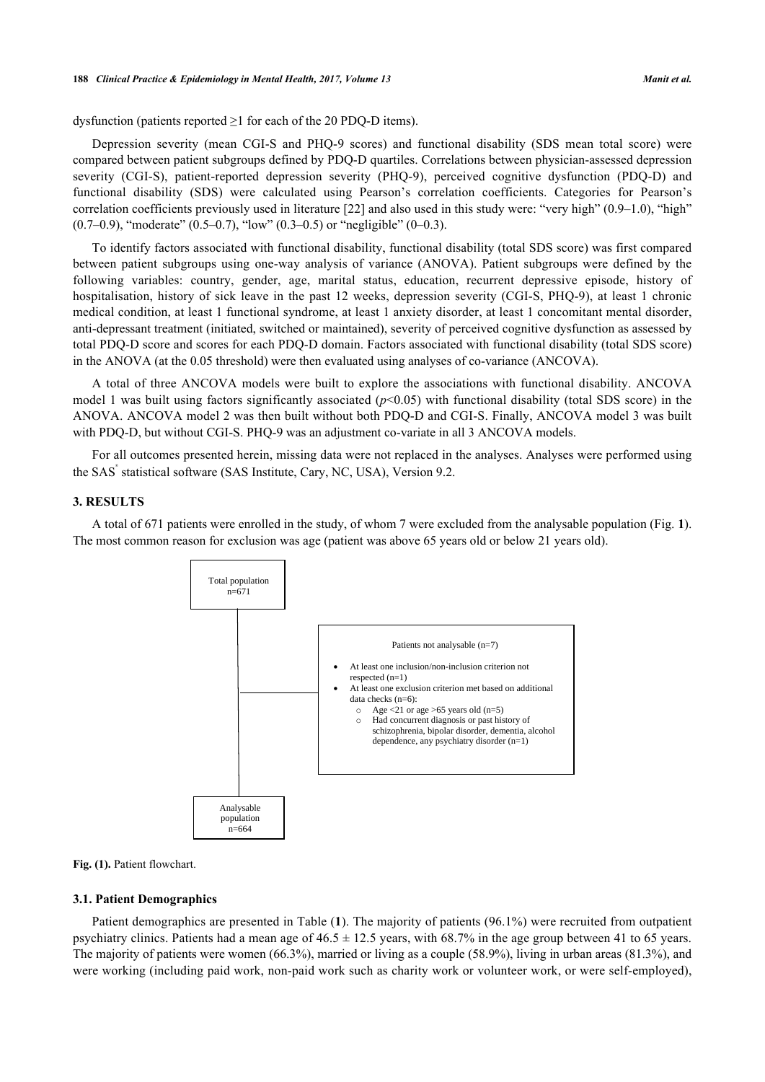dysfunction (patients reported  $\geq 1$  for each of the 20 PDQ-D items).

Depression severity (mean CGI-S and PHQ-9 scores) and functional disability (SDS mean total score) were compared between patient subgroups defined by PDQ-D quartiles. Correlations between physician-assessed depression severity (CGI-S), patient-reported depression severity (PHQ-9), perceived cognitive dysfunction (PDQ-D) and functional disability (SDS) were calculated using Pearson's correlation coefficients. Categories for Pearson's correlation coefficients previously used in literature  $[22]$  $[22]$  and also used in this study were: "very high"  $(0.9-1.0)$ , "high"  $(0.7-0.9)$ , "moderate"  $(0.5-0.7)$ , "low"  $(0.3-0.5)$  or "negligible"  $(0-0.3)$ .

To identify factors associated with functional disability, functional disability (total SDS score) was first compared between patient subgroups using one-way analysis of variance (ANOVA). Patient subgroups were defined by the following variables: country, gender, age, marital status, education, recurrent depressive episode, history of hospitalisation, history of sick leave in the past 12 weeks, depression severity (CGI-S, PHQ-9), at least 1 chronic medical condition, at least 1 functional syndrome, at least 1 anxiety disorder, at least 1 concomitant mental disorder, anti-depressant treatment (initiated, switched or maintained), severity of perceived cognitive dysfunction as assessed by total PDQ-D score and scores for each PDQ-D domain. Factors associated with functional disability (total SDS score) in the ANOVA (at the 0.05 threshold) were then evaluated using analyses of co-variance (ANCOVA).

A total of three ANCOVA models were built to explore the associations with functional disability. ANCOVA model 1 was built using factors significantly associated  $(p<0.05)$  with functional disability (total SDS score) in the ANOVA. ANCOVA model 2 was then built without both PDQ-D and CGI-S. Finally, ANCOVA model 3 was built with PDO-D, but without CGI-S. PHO-9 was an adjustment co-variate in all 3 ANCOVA models.

For all outcomes presented herein, missing data were not replaced in the analyses. Analyses were performed using the SAS ® statistical software (SAS Institute, Cary, NC, USA), Version 9.2.

## **3. RESULTS**

<span id="page-3-0"></span>A total of 671 patients were enrolled in the study, of whom 7 were excluded from the analysable population (Fig. **[1](#page-3-0)**). The most common reason for exclusion was age (patient was above 65 years old or below 21 years old).



**Fig. (1).** Patient flowchart.

#### **3.1. Patient Demographics**

Patient demographics are presented in Table (**1**). The majority of patients (96.1%) were recruited from outpatient psychiatry clinics. Patients had a mean age of  $46.5 \pm 12.5$  years, with 68.7% in the age group between 41 to 65 years. The majority of patients were women (66.3%), married or living as a couple (58.9%), living in urban areas (81.3%), and were working (including paid work, non-paid work such as charity work or volunteer work, or were self-employed),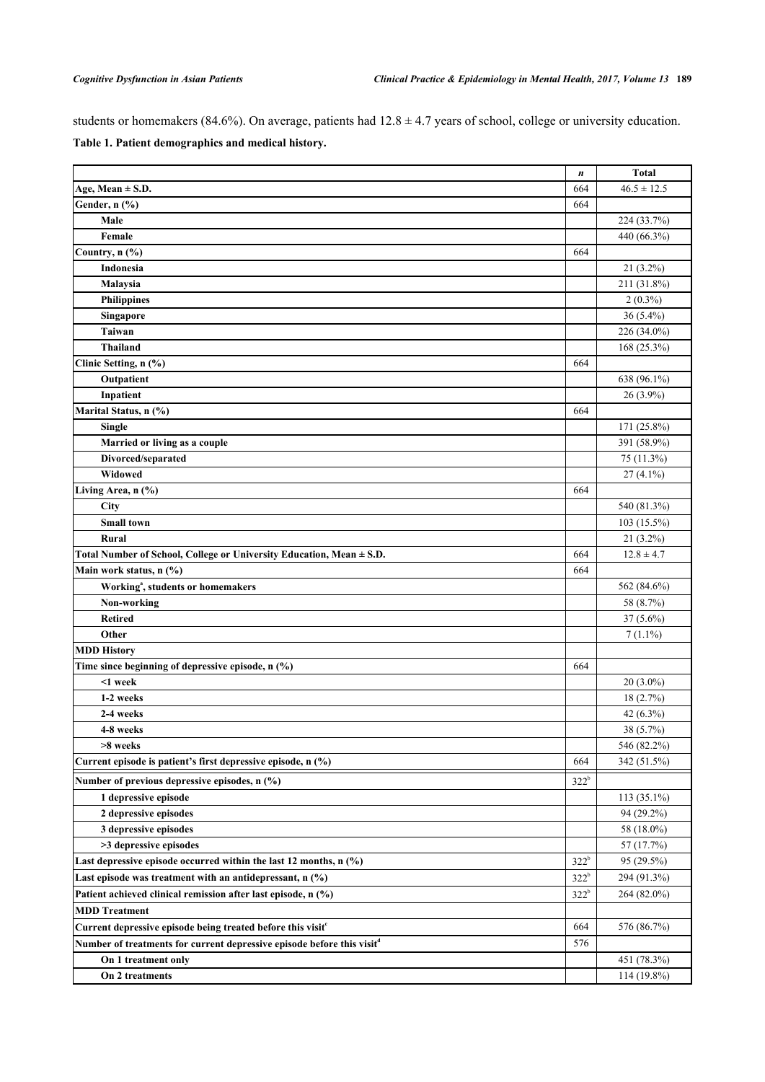students or homemakers (84.6%). On average, patients had  $12.8 \pm 4.7$  years of school, college or university education.

|  | Table 1. Patient demographics and medical history. |  |
|--|----------------------------------------------------|--|
|--|----------------------------------------------------|--|

|                                                                                    | $\boldsymbol{n}$ | <b>Total</b>    |
|------------------------------------------------------------------------------------|------------------|-----------------|
| Age, Mean $\pm$ S.D.                                                               | 664              | $46.5 \pm 12.5$ |
| Gender, n (%)                                                                      | 664              |                 |
| Male                                                                               |                  | 224 (33.7%)     |
| Female                                                                             |                  | 440 (66.3%)     |
| Country, n (%)                                                                     | 664              |                 |
| Indonesia                                                                          |                  | $21(3.2\%)$     |
| Malaysia                                                                           |                  | 211 (31.8%)     |
| <b>Philippines</b>                                                                 |                  | $2(0.3\%)$      |
| Singapore                                                                          |                  | $36(5.4\%)$     |
| <b>Taiwan</b>                                                                      |                  | 226 (34.0%)     |
| <b>Thailand</b>                                                                    |                  | 168 (25.3%)     |
| Clinic Setting, n (%)                                                              | 664              |                 |
| Outpatient                                                                         |                  | 638 (96.1%)     |
| Inpatient                                                                          |                  | $26(3.9\%)$     |
| Marital Status, n (%)                                                              | 664              |                 |
| <b>Single</b>                                                                      |                  | 171 (25.8%)     |
| Married or living as a couple                                                      |                  | 391 (58.9%)     |
| Divorced/separated                                                                 |                  | 75 (11.3%)      |
| Widowed                                                                            |                  | $27(4.1\%)$     |
| Living Area, n (%)                                                                 | 664              |                 |
| City                                                                               |                  | 540 (81.3%)     |
| <b>Small town</b>                                                                  |                  | $103(15.5\%)$   |
| Rural                                                                              |                  | $21(3.2\%)$     |
| Total Number of School, College or University Education, Mean ± S.D.               | 664              | $12.8 \pm 4.7$  |
| Main work status, n (%)                                                            | 664              |                 |
| Working <sup>a</sup> , students or homemakers                                      |                  | 562 (84.6%)     |
| Non-working                                                                        |                  | 58 (8.7%)       |
| <b>Retired</b>                                                                     |                  | $37(5.6\%)$     |
| Other                                                                              |                  | $7(1.1\%)$      |
| <b>MDD History</b>                                                                 |                  |                 |
| Time since beginning of depressive episode, n (%)                                  | 664              |                 |
| <1 week                                                                            |                  | $20(3.0\%)$     |
| 1-2 weeks                                                                          |                  | 18(2.7%)        |
| 2-4 weeks                                                                          |                  | 42 (6.3%)       |
| 4-8 weeks                                                                          |                  | 38 (5.7%)       |
| >8 weeks                                                                           |                  | 546 (82.2%)     |
| Current episode is patient's first depressive episode, n (%)                       | 664              | 342 (51.5%)     |
| Number of previous depressive episodes, n (%)                                      | $322^b$          |                 |
| 1 depressive episode                                                               |                  | 113 (35.1%)     |
| 2 depressive episodes                                                              |                  | 94 (29.2%)      |
| 3 depressive episodes                                                              |                  | 58 (18.0%)      |
| >3 depressive episodes                                                             |                  | 57 (17.7%)      |
| Last depressive episode occurred within the last 12 months, $n$ $(\%)$             | $322^b$          | 95 (29.5%)      |
| Last episode was treatment with an antidepressant, $n$ (%)                         | $322^b$          | 294 (91.3%)     |
| Patient achieved clinical remission after last episode, n (%)                      | $322^b$          | 264 (82.0%)     |
| <b>MDD</b> Treatment                                                               |                  |                 |
| Current depressive episode being treated before this visit <sup>e</sup>            | 664              | 576 (86.7%)     |
| Number of treatments for current depressive episode before this visit <sup>d</sup> | 576              |                 |
| On 1 treatment only                                                                |                  | 451 (78.3%)     |
| On 2 treatments                                                                    |                  | 114 (19.8%)     |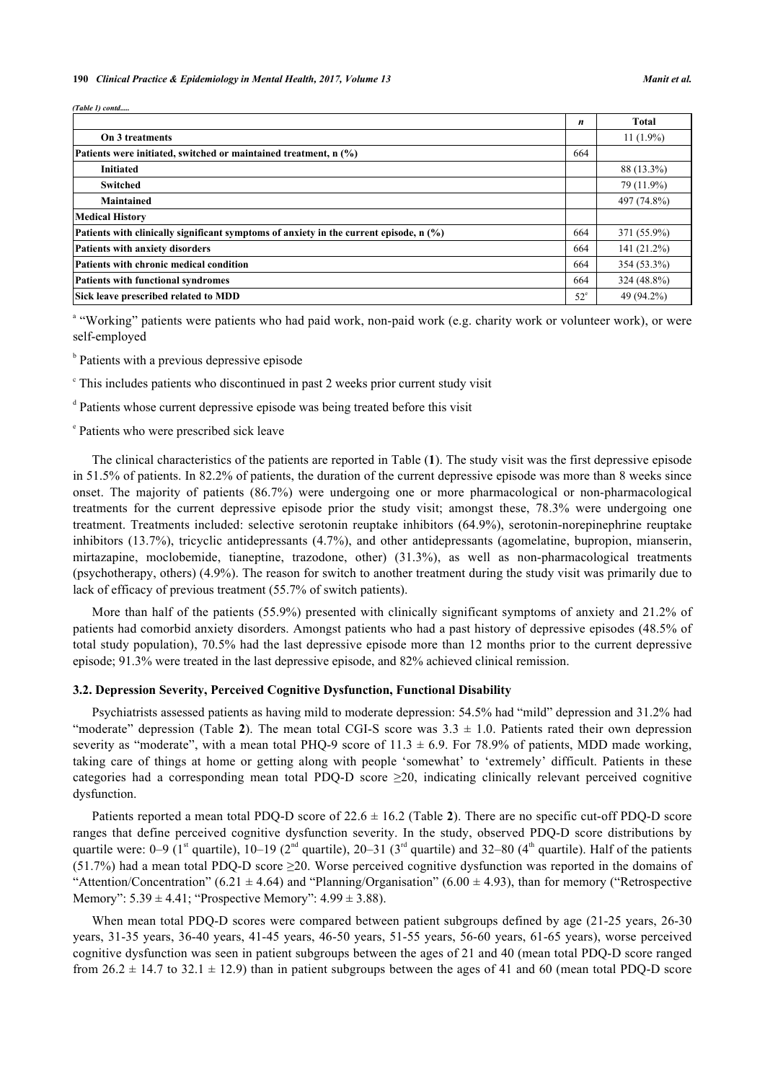*(Table 1) contd.....*

|                                                                                                                              | n            | <b>Total</b> |
|------------------------------------------------------------------------------------------------------------------------------|--------------|--------------|
| On 3 treatments                                                                                                              |              | $11(1.9\%)$  |
| Patients were initiated, switched or maintained treatment, n (%)<br><b>Initiated</b><br><b>Switched</b><br><b>Maintained</b> |              |              |
|                                                                                                                              |              | 88 (13.3%)   |
|                                                                                                                              |              | 79 (11.9%)   |
|                                                                                                                              |              | 497 (74.8%)  |
| <b>Medical History</b>                                                                                                       |              |              |
| Patients with clinically significant symptoms of anxiety in the current episode, $n$ (%)                                     | 664          | 371 (55.9%)  |
| Patients with anxiety disorders                                                                                              | 664          | 141 (21.2%)  |
| Patients with chronic medical condition                                                                                      | 664          | 354 (53.3%)  |
| <b>Patients with functional syndromes</b>                                                                                    | 664          | 324 (48.8%)  |
| Sick leave prescribed related to MDD                                                                                         | $52^{\circ}$ | 49 (94.2%)   |

<sup>a</sup> "Working" patients were patients who had paid work, non-paid work (e.g. charity work or volunteer work), or were self-employed

<sup>b</sup> Patients with a previous depressive episode

<sup>c</sup> This includes patients who discontinued in past 2 weeks prior current study visit

<sup>d</sup> Patients whose current depressive episode was being treated before this visit

e Patients who were prescribed sick leave

The clinical characteristics of the patients are reported in Table (**1**). The study visit was the first depressive episode in 51.5% of patients. In 82.2% of patients, the duration of the current depressive episode was more than 8 weeks since onset. The majority of patients (86.7%) were undergoing one or more pharmacological or non-pharmacological treatments for the current depressive episode prior the study visit; amongst these, 78.3% were undergoing one treatment. Treatments included: selective serotonin reuptake inhibitors (64.9%), serotonin-norepinephrine reuptake inhibitors (13.7%), tricyclic antidepressants (4.7%), and other antidepressants (agomelatine, bupropion, mianserin, mirtazapine, moclobemide, tianeptine, trazodone, other) (31.3%), as well as non-pharmacological treatments (psychotherapy, others) (4.9%). The reason for switch to another treatment during the study visit was primarily due to lack of efficacy of previous treatment (55.7% of switch patients).

More than half of the patients (55.9%) presented with clinically significant symptoms of anxiety and 21.2% of patients had comorbid anxiety disorders. Amongst patients who had a past history of depressive episodes (48.5% of total study population), 70.5% had the last depressive episode more than 12 months prior to the current depressive episode; 91.3% were treated in the last depressive episode, and 82% achieved clinical remission.

#### **3.2. Depression Severity, Perceived Cognitive Dysfunction, Functional Disability**

Psychiatrists assessed patients as having mild to moderate depression: 54.5% had "mild" depression and 31.2% had "moderate"depression (Table 2). The mean total CGI-S score was  $3.3 \pm 1.0$ . Patients rated their own depression severity as "moderate", with a mean total PHQ-9 score of  $11.3 \pm 6.9$ . For 78.9% of patients, MDD made working, taking care of things at home or getting along with people 'somewhat' to 'extremely' difficult. Patients in these categories had a corresponding mean total PDQ-D score  $\geq$ 20, indicating clinically relevant perceived cognitive dysfunction.

Patients reported a mean total PDQ-D score of 22.6 ± 16.2 (Table **[2](#page-6-0)**). There are no specific cut-off PDQ-D score ranges that define perceived cognitive dysfunction severity. In the study, observed PDQ-D score distributions by quartile were:  $0-9$  (1<sup>st</sup> quartile),  $10-19$  ( $2<sup>nd</sup>$  quartile),  $20-31$  ( $3<sup>rd</sup>$  quartile) and  $32-80$  ( $4<sup>th</sup>$  quartile). Half of the patients  $(51.7%)$  had a mean total PDO-D score  $\geq 20$ . Worse perceived cognitive dysfunction was reported in the domains of "Attention/Concentration" (6.21  $\pm$  4.64) and "Planning/Organisation" (6.00  $\pm$  4.93), than for memory ("Retrospective Memory":  $5.39 \pm 4.41$ ; "Prospective Memory":  $4.99 \pm 3.88$ ).

When mean total PDQ-D scores were compared between patient subgroups defined by age (21-25 years, 26-30) years, 31-35 years, 36-40 years, 41-45 years, 46-50 years, 51-55 years, 56-60 years, 61-65 years), worse perceived cognitive dysfunction was seen in patient subgroups between the ages of 21 and 40 (mean total PDQ-D score ranged from  $26.2 \pm 14.7$  to  $32.1 \pm 12.9$ ) than in patient subgroups between the ages of 41 and 60 (mean total PDQ-D score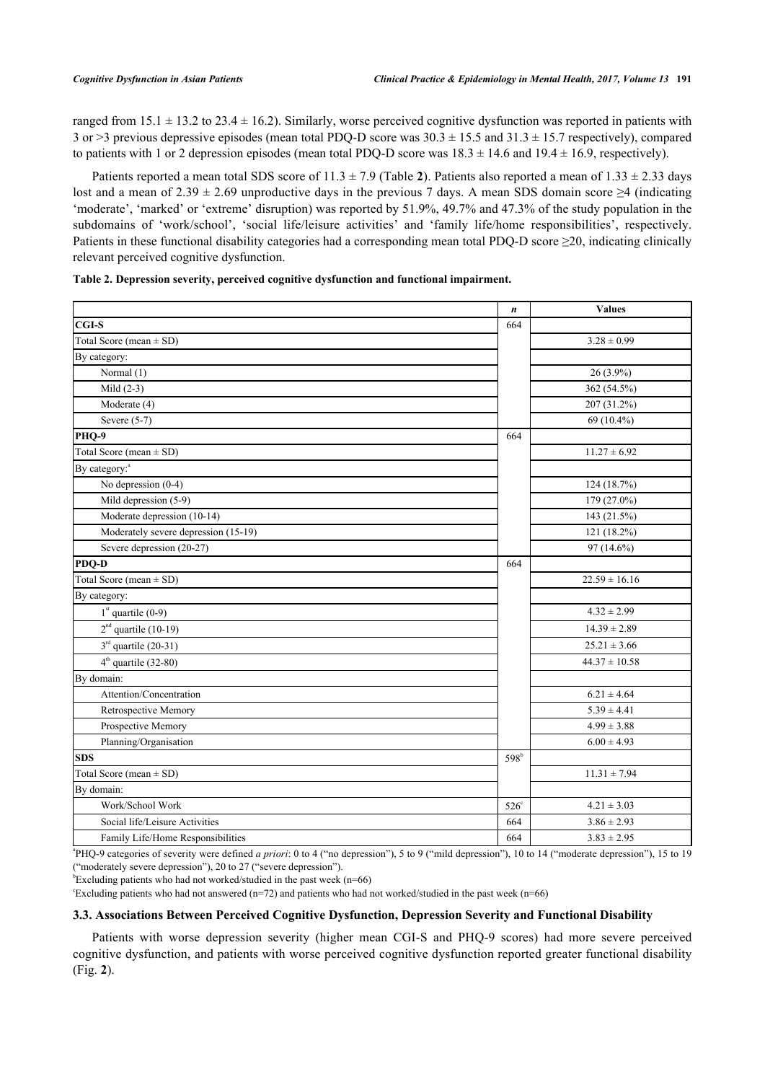ranged from  $15.1 \pm 13.2$  to  $23.4 \pm 16.2$ ). Similarly, worse perceived cognitive dysfunction was reported in patients with 3 or >3 previous depressive episodes (mean total PDO-D score was  $30.3 \pm 15.5$  and  $31.3 \pm 15.7$  respectively), compared to patients with 1 or 2 depression episodes (mean total PDQ-D score was  $18.3 \pm 14.6$  and  $19.4 \pm 16.9$ , respectively).

Patients reported a mean total SDS score of  $11.3 \pm 7.9$  (Table [2](#page-6-0)). Patients also reported a mean of  $1.33 \pm 2.33$  days lost and a mean of 2.39  $\pm$  2.69 unproductive days in the previous 7 days. A mean SDS domain score  $\geq$ 4 (indicating 'moderate', 'marked' or 'extreme' disruption) was reported by 51.9%, 49.7% and 47.3% of the study population in the subdomains of 'work/school', 'social life/leisure activities' and 'family life/home responsibilities', respectively. Patients in these functional disability categories had a corresponding mean total PDQ-D score  $\geq$ 20, indicating clinically relevant perceived cognitive dysfunction.

<span id="page-6-0"></span>

|  |  | Table 2. Depression severity, perceived cognitive dysfunction and functional impairment. |  |  |
|--|--|------------------------------------------------------------------------------------------|--|--|
|  |  |                                                                                          |  |  |

|                                      | $\boldsymbol{n}$ | <b>Values</b>     |
|--------------------------------------|------------------|-------------------|
| <b>CGI-S</b>                         | 664              |                   |
| Total Score (mean $\pm$ SD)          |                  | $3.28 \pm 0.99$   |
| By category:                         |                  |                   |
| Normal (1)                           |                  | 26 (3.9%)         |
| Mild $(2-3)$                         |                  | 362 (54.5%)       |
| Moderate (4)                         |                  | 207 (31.2%)       |
| Severe $(5-7)$                       |                  | 69 (10.4%)        |
| PHQ-9                                | 664              |                   |
| Total Score (mean $\pm$ SD)          |                  | $11.27 \pm 6.92$  |
| By category: <sup>a</sup>            |                  |                   |
| No depression $(0-4)$                |                  | 124 (18.7%)       |
| Mild depression (5-9)                |                  | 179 (27.0%)       |
| Moderate depression (10-14)          |                  | 143 (21.5%)       |
| Moderately severe depression (15-19) |                  | 121 (18.2%)       |
| Severe depression (20-27)            |                  | 97 (14.6%)        |
| PDQ-D                                | 664              |                   |
| Total Score (mean $\pm$ SD)          |                  | $22.59 \pm 16.16$ |
| By category:                         |                  |                   |
| $1st$ quartile (0-9)                 |                  | $4.32 \pm 2.99$   |
| $2nd$ quartile (10-19)               |                  | $14.39 \pm 2.89$  |
| $3rd$ quartile (20-31)               |                  | $25.21 \pm 3.66$  |
| $4th$ quartile (32-80)               |                  | $44.37 \pm 10.58$ |
| By domain:                           |                  |                   |
| Attention/Concentration              |                  | $6.21 \pm 4.64$   |
| Retrospective Memory                 |                  | $5.39 \pm 4.41$   |
| Prospective Memory                   |                  | $4.99 \pm 3.88$   |
| Planning/Organisation                |                  | $6.00 \pm 4.93$   |
| <b>SDS</b>                           | 598 <sup>b</sup> |                   |
| Total Score (mean $\pm$ SD)          |                  | $11.31 \pm 7.94$  |
| By domain:                           |                  |                   |
| Work/School Work                     | $526^\circ$      | $4.21 \pm 3.03$   |
| Social life/Leisure Activities       | 664              | $3.86 \pm 2.93$   |
| Family Life/Home Responsibilities    | 664              | $3.83 \pm 2.95$   |

<sup>a</sup>PHQ-9 categories of severity were defined *a priori*: 0 to 4 ("no depression"), 5 to 9 ("mild depression"), 10 to 14 ("moderate depression"), 15 to 19 ("moderately severe depression"), 20 to 27 ("severe depression").

 $b$ Excluding patients who had not worked/studied in the past week (n=66)

Excluding patients who had not answered ( $n=72$ ) and patients who had not worked/studied in the past week ( $n=66$ )

#### **3.3. Associations Between Perceived Cognitive Dysfunction, Depression Severity and Functional Disability**

Patients with worse depression severity (higher mean CGI-S and PHQ-9 scores) had more severe perceived cognitive dysfunction, and patients with worse perceived cognitive dysfunction reported greater functional disability (Fig. **[2](#page-7-0)**).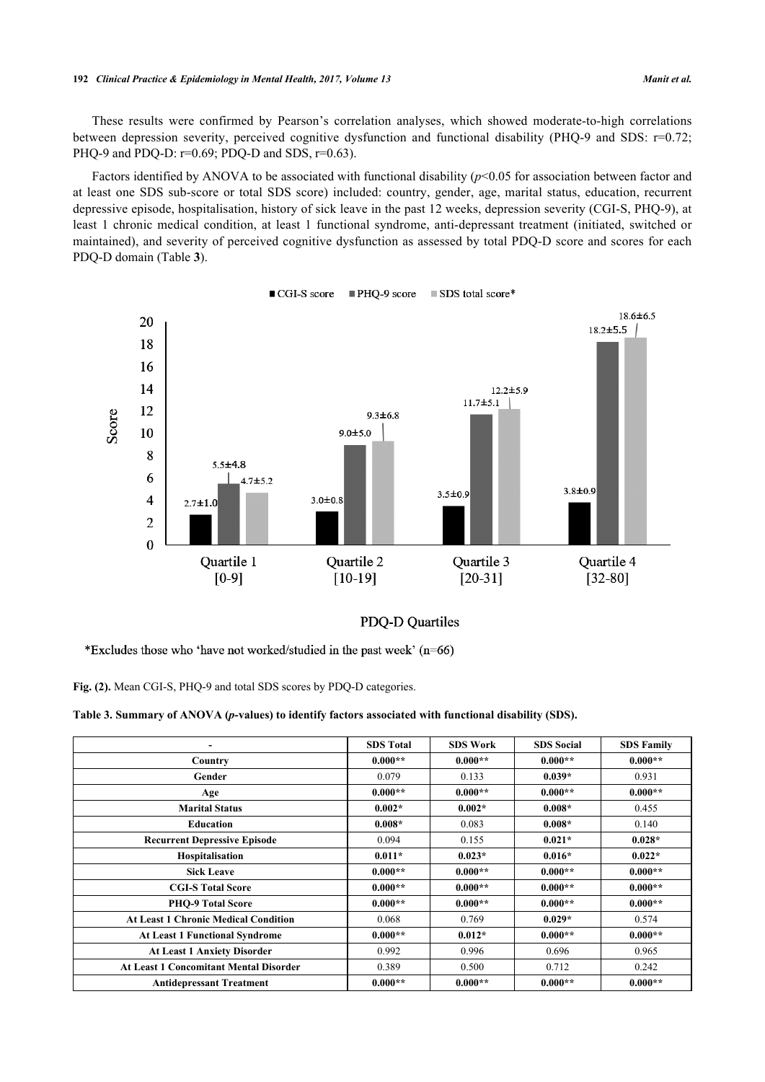These results were confirmed by Pearson's correlation analyses, which showed moderate-to-high correlations between depression severity, perceived cognitive dysfunction and functional disability (PHQ-9 and SDS: r=0.72; PHQ-9 and PDQ-D:  $r=0.69$ ; PDQ-D and SDS,  $r=0.63$ ).

Factors identified by ANOVA to be associated with functional disability ( $p$ <0.05 for association between factor and at least one SDS sub-score or total SDS score) included: country, gender, age, marital status, education, recurrent depressive episode, hospitalisation, history of sick leave in the past 12 weeks, depression severity (CGI-S, PHQ-9), at least 1 chronic medical condition, at least 1 functional syndrome, anti-depressant treatment (initiated, switched or maintained), and severity of perceived cognitive dysfunction as assessed by total PDQ-D score and scores for each PDQ-D domain (Table **[3](#page-7-1)**).

<span id="page-7-0"></span>

■ CGI-S score ■ PHQ-9 score SDS total score\*

## PDQ-D Quartiles

\*Excludes those who 'have not worked/studied in the past week' (n=66)

**Fig. (2).** Mean CGI-S, PHQ-9 and total SDS scores by PDQ-D categories.

<span id="page-7-1"></span>

|  |  |  | Table 3. Summary of ANOVA (p-values) to identify factors associated with functional disability (SDS). |  |
|--|--|--|-------------------------------------------------------------------------------------------------------|--|
|--|--|--|-------------------------------------------------------------------------------------------------------|--|

|                                               | <b>SDS</b> Total | <b>SDS Work</b> | <b>SDS</b> Social | <b>SDS Family</b> |
|-----------------------------------------------|------------------|-----------------|-------------------|-------------------|
| Country                                       | $0.000**$        | $0.000**$       | $0.000**$         | $0.000**$         |
| Gender                                        | 0.079            | 0.133           | $0.039*$          | 0.931             |
| Age                                           | $0.000**$        | $0.000**$       | $0.000**$         | $0.000**$         |
| <b>Marital Status</b>                         | $0.002*$         | $0.002*$        | $0.008*$          | 0.455             |
| <b>Education</b>                              | $0.008*$         | 0.083           | $0.008*$          | 0.140             |
| <b>Recurrent Depressive Episode</b>           | 0.094            | 0.155           | $0.021*$          | $0.028*$          |
| Hospitalisation                               | $0.011*$         | $0.023*$        | $0.016*$          | $0.022*$          |
| <b>Sick Leave</b>                             | $0.000**$        | $0.000**$       | $0.000**$         | $0.000**$         |
| <b>CGI-S Total Score</b>                      | $0.000**$        | $0.000**$       | $0.000**$         | $0.000**$         |
| <b>PHO-9 Total Score</b>                      | $0.000**$        | $0.000**$       | $0.000**$         | $0.000**$         |
| <b>At Least 1 Chronic Medical Condition</b>   | 0.068            | 0.769           | $0.029*$          | 0.574             |
| <b>At Least 1 Functional Syndrome</b>         | $0.000**$        | $0.012*$        | $0.000**$         | $0.000**$         |
| <b>At Least 1 Anxiety Disorder</b>            | 0.992            | 0.996           | 0.696             | 0.965             |
| <b>At Least 1 Concomitant Mental Disorder</b> | 0.389            | 0.500           | 0.712             | 0.242             |
| <b>Antidepressant Treatment</b>               | $0.000**$        | $0.000**$       | $0.000**$         | $0.000**$         |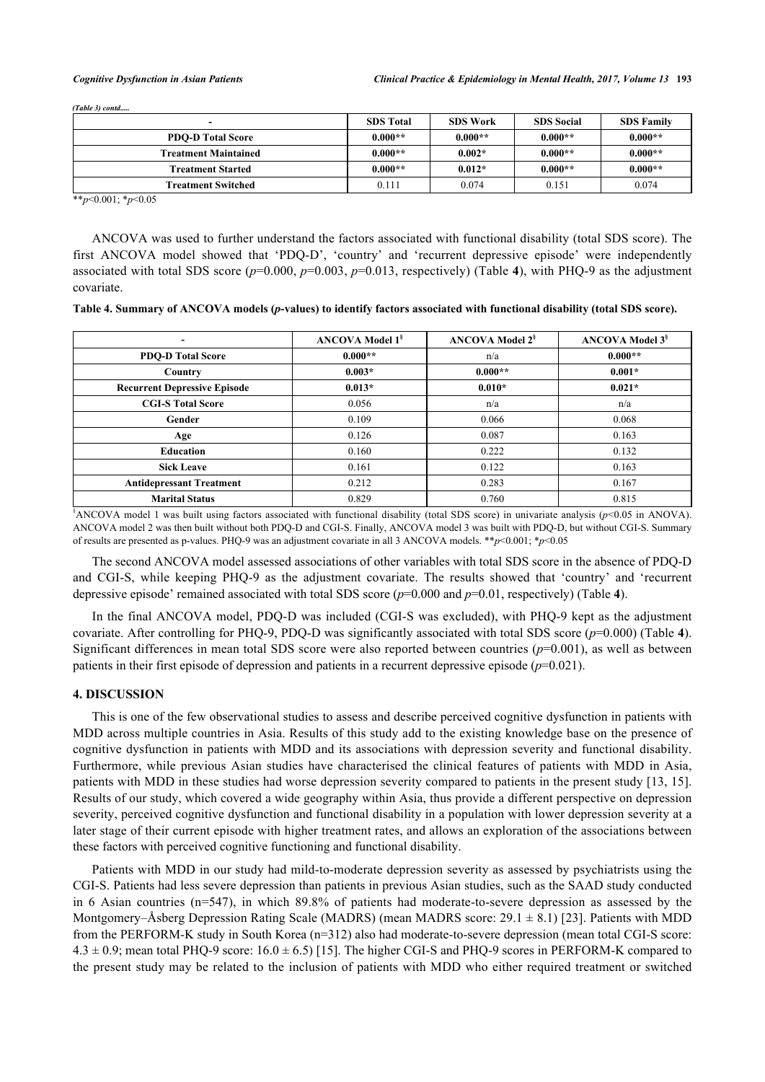| $(Table 3)$ contd           |                  |                 |                   |                   |
|-----------------------------|------------------|-----------------|-------------------|-------------------|
| $\overline{\phantom{0}}$    | <b>SDS Total</b> | <b>SDS Work</b> | <b>SDS</b> Social | <b>SDS Family</b> |
| <b>PDO-D Total Score</b>    | $0.000**$        | $0.000**$       | $0.000**$         | $0.000**$         |
| <b>Treatment Maintained</b> | $0.000**$        | $0.002*$        | $0.000**$         | $0.000**$         |
| <b>Treatment Started</b>    | $0.000**$        | $0.012*$        | $0.000**$         | $0.000**$         |
| Treatment Switched          | 0.111            | 0.074           | 0.151             | 0.074             |

\*\**p*<0.001; \**p*<0.05

ANCOVA was used to further understand the factors associated with functional disability (total SDS score). The first ANCOVA model showed that 'PDQ-D', 'country' and 'recurrent depressive episode' were independently associated with total SDS score (*p*=0.000, *p*=0.003, *p*=0.013, respectively) (Table **[4](#page-8-0)**), with PHQ-9 as the adjustment covariate.

<span id="page-8-0"></span>

| Table 4. Summary of ANCOVA models (p-values) to identify factors associated with functional disability (total SDS score). |  |  |
|---------------------------------------------------------------------------------------------------------------------------|--|--|
|                                                                                                                           |  |  |

| ۰                                   | <b>ANCOVA Model 1<sup>§</sup></b> | <b>ANCOVA Model 2<sup>§</sup></b> | <b>ANCOVA Model 3<sup>§</sup></b> |
|-------------------------------------|-----------------------------------|-----------------------------------|-----------------------------------|
| <b>PDO-D Total Score</b>            | $0.000**$                         | n/a                               | $0.000**$                         |
| Country                             | $0.003*$                          | $0.000**$                         | $0.001*$                          |
| <b>Recurrent Depressive Episode</b> | $0.013*$                          | $0.010*$                          | $0.021*$                          |
| <b>CGI-S Total Score</b>            | 0.056                             | n/a                               | n/a                               |
| Gender                              | 0.109                             | 0.066                             | 0.068                             |
| Age                                 | 0.126                             | 0.087                             | 0.163                             |
| Education                           | 0.160                             | 0.222                             | 0.132                             |
| <b>Sick Leave</b>                   | 0.161                             | 0.122                             | 0.163                             |
| <b>Antidepressant Treatment</b>     | 0.212                             | 0.283                             | 0.167                             |
| <b>Marital Status</b><br>8<br>.     | 0.829                             | 0.760                             | 0.815                             |

§ANCOVA model 1 was built using factors associated with functional disability (total SDS score) in univariate analysis (*p*<0.05 in ANOVA). ANCOVA model 2 was then built without both PDQ-D and CGI-S. Finally, ANCOVA model 3 was built with PDQ-D, but without CGI-S. Summary of results are presented as p-values. PHQ-9 was an adjustment covariate in all 3 ANCOVA models. \*\**p*<0.001; \**p*<0.05

The second ANCOVA model assessed associations of other variables with total SDS score in the absence of PDQ-D and CGI-S, while keeping PHQ-9 as the adjustment covariate. The results showed that 'country' and 'recurrent depressive episode' remained associated with total SDS score (*p*=0.000 and *p*=0.01, respectively) (Table **[4](#page-8-0)**).

In the final ANCOVA model, PDQ-D was included (CGI-S was excluded), with PHQ-9 kept as the adjustment covariate. After controlling for PHQ-9, PDQ-D was significantly associated with total SDS score  $(p=0.000)$  (Table [4](#page-8-0)). Significant differences in mean total SDS score were also reported between countries  $(p=0.001)$ , as well as between patients in their first episode of depression and patients in a recurrent depressive episode (*p*=0.021).

## **4. DISCUSSION**

This is one of the few observational studies to assess and describe perceived cognitive dysfunction in patients with MDD across multiple countries in Asia. Results of this study add to the existing knowledge base on the presence of cognitive dysfunction in patients with MDD and its associations with depression severity and functional disability. Furthermore, while previous Asian studies have characterised the clinical features of patients with MDD in Asia, patients with MDD in these studies had worse depression severity compared to patients in the present study [[13](#page-13-1), [15\]](#page-13-3). Results of our study, which covered a wide geography within Asia, thus provide a different perspective on depression severity, perceived cognitive dysfunction and functional disability in a population with lower depression severity at a later stage of their current episode with higher treatment rates, and allows an exploration of the associations between these factors with perceived cognitive functioning and functional disability.

Patients with MDD in our study had mild-to-moderate depression severity as assessed by psychiatrists using the CGI-S. Patients had less severe depression than patients in previous Asian studies, such as the SAAD study conducted in 6 Asian countries (n=547), in which 89.8% of patients had moderate-to-severe depression as assessed by the Montgomery–Åsberg Depression Rating Scale (MADRS) (mean MADRS score:  $29.1 \pm 8.1$ ) [\[23\]](#page-13-10). Patients with MDD from the PERFORM-K study in South Korea (n=312) also had moderate-to-severe depression (mean total CGI-S score:  $4.3 \pm 0.9$ ; mean total PHQ-9 score:  $16.0 \pm 6.5$  [[15\]](#page-13-3). The higher CGI-S and PHQ-9 scores in PERFORM-K compared to the present study may be related to the inclusion of patients with MDD who either required treatment or switched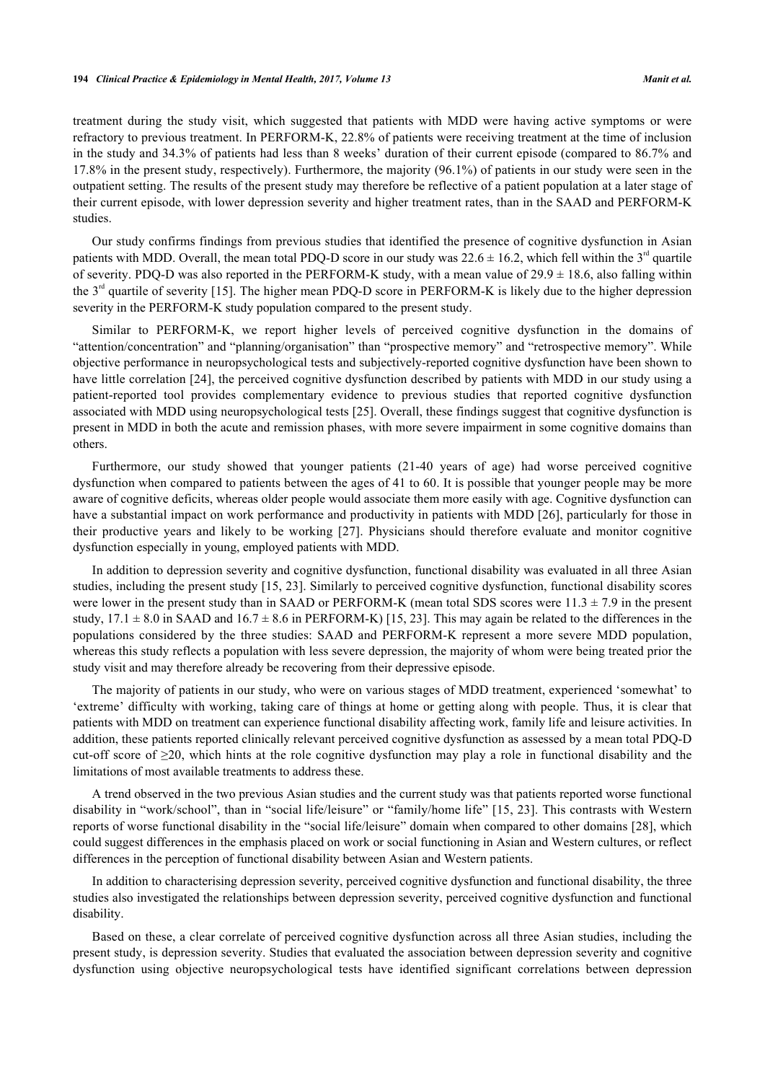treatment during the study visit, which suggested that patients with MDD were having active symptoms or were refractory to previous treatment. In PERFORM-K, 22.8% of patients were receiving treatment at the time of inclusion in the study and 34.3% of patients had less than 8 weeks' duration of their current episode (compared to 86.7% and 17.8% in the present study, respectively). Furthermore, the majority (96.1%) of patients in our study were seen in the outpatient setting. The results of the present study may therefore be reflective of a patient population at a later stage of their current episode, with lower depression severity and higher treatment rates, than in the SAAD and PERFORM-K studies.

Our study confirms findings from previous studies that identified the presence of cognitive dysfunction in Asian patients with MDD. Overall, the mean total PDQ-D score in our study was  $22.6 \pm 16.2$ , which fell within the  $3<sup>rd</sup>$  quartile of severity. PDQ-D was also reported in the PERFORM-K study, with a mean value of  $29.9 \pm 18.6$ , also falling within the  $3<sup>rd</sup>$  quartile of severity [[15\]](#page-13-3). The higher mean PDO-D score in PERFORM-K is likely due to the higher depression severity in the PERFORM-K study population compared to the present study.

Similar to PERFORM-K, we report higher levels of perceived cognitive dysfunction in the domains of "attention/concentration" and "planning/organisation" than "prospective memory" and "retrospective memory". While objective performance in neuropsychological tests and subjectively-reported cognitive dysfunction have been shown to have little correlation [[24](#page-13-11)], the perceived cognitive dysfunction described by patients with MDD in our study using a patient-reported tool provides complementary evidence to previous studies that reported cognitive dysfunction associated with MDD using neuropsychological tests [[25\]](#page-13-12). Overall, these findings suggest that cognitive dysfunction is present in MDD in both the acute and remission phases, with more severe impairment in some cognitive domains than others.

Furthermore, our study showed that younger patients (21-40 years of age) had worse perceived cognitive dysfunction when compared to patients between the ages of 41 to 60. It is possible that younger people may be more aware of cognitive deficits, whereas older people would associate them more easily with age. Cognitive dysfunction can have a substantial impact on work performance and productivity in patients with MDD [[26](#page-13-13)], particularly for those in their productive years and likely to be working[[27\]](#page-13-14). Physicians should therefore evaluate and monitor cognitive dysfunction especially in young, employed patients with MDD.

In addition to depression severity and cognitive dysfunction, functional disability was evaluated in all three Asian studies, including the present study [[15](#page-13-3), [23\]](#page-13-10). Similarly to perceived cognitive dysfunction, functional disability scores were lower in the present study than in SAAD or PERFORM-K (mean total SDS scores were  $11.3 \pm 7.9$  in the present study,  $17.1 \pm 8.0$  in SAAD and  $16.7 \pm 8.6$  in PERFORM-K) [[15](#page-13-3), [23](#page-13-10)]. This may again be related to the differences in the populations considered by the three studies: SAAD and PERFORM-K represent a more severe MDD population, whereas this study reflects a population with less severe depression, the majority of whom were being treated prior the study visit and may therefore already be recovering from their depressive episode.

The majority of patients in our study, who were on various stages of MDD treatment, experienced 'somewhat' to 'extreme' difficulty with working, taking care of things at home or getting along with people. Thus, it is clear that patients with MDD on treatment can experience functional disability affecting work, family life and leisure activities. In addition, these patients reported clinically relevant perceived cognitive dysfunction as assessed by a mean total PDQ-D cut-off score of  $\geq 20$ , which hints at the role cognitive dysfunction may play a role in functional disability and the limitations of most available treatments to address these.

A trend observed in the two previous Asian studies and the current study was that patients reported worse functional disability in "work/school", than in "social life/leisure" or "family/home life" [[15,](#page-13-3) [23\]](#page-13-10). This contrasts with Western reports of worse functional disability in the "social life/leisure" domain when compared to other domains [[28](#page-13-15)], which could suggest differences in the emphasis placed on work or social functioning in Asian and Western cultures, or reflect differences in the perception of functional disability between Asian and Western patients.

In addition to characterising depression severity, perceived cognitive dysfunction and functional disability, the three studies also investigated the relationships between depression severity, perceived cognitive dysfunction and functional disability.

Based on these, a clear correlate of perceived cognitive dysfunction across all three Asian studies, including the present study, is depression severity. Studies that evaluated the association between depression severity and cognitive dysfunction using objective neuropsychological tests have identified significant correlations between depression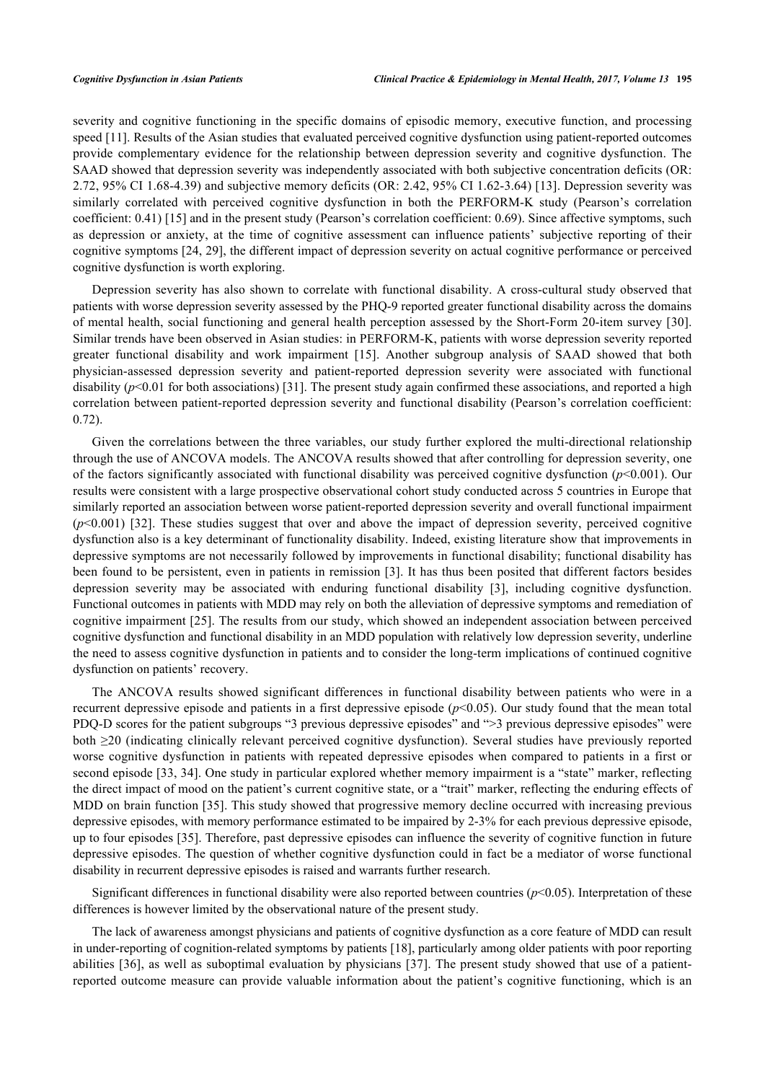severity and cognitive functioning in the specific domains of episodic memory, executive function, and processing speed [[11\]](#page-12-9). Results of the Asian studies that evaluated perceived cognitive dysfunction using patient-reported outcomes provide complementary evidence for the relationship between depression severity and cognitive dysfunction. The SAAD showed that depression severity was independently associated with both subjective concentration deficits (OR: 2.72, 95% CI 1.68-4.39) and subjective memory deficits (OR: 2.42, 95% CI 1.62-3.64) [[13](#page-13-1)]. Depression severity was similarly correlated with perceived cognitive dysfunction in both the PERFORM-K study (Pearson's correlation coefficient: 0.41) [[15\]](#page-13-3) and in the present study (Pearson's correlation coefficient: 0.69). Since affective symptoms, such as depression or anxiety, at the time of cognitive assessment can influence patients' subjective reporting of their cognitive symptoms [[24,](#page-13-11) [29](#page-13-16)], the different impact of depression severity on actual cognitive performance or perceived cognitive dysfunction is worth exploring.

Depression severity has also shown to correlate with functional disability. A cross-cultural study observed that patients with worse depression severity assessed by the PHQ-9 reported greater functional disability across the domains of mental health, social functioning and general health perception assessed by the Short-Form 20-item survey [\[30\]](#page-13-17). Similar trends have been observed in Asian studies: in PERFORM-K, patients with worse depression severity reported greater functional disability and work impairment [\[15\]](#page-13-3). Another subgroup analysis of SAAD showed that both physician-assessed depression severity and patient-reported depression severity were associated with functional disability  $(p<0.01$  for both associations) [\[31](#page-13-18)]. The present study again confirmed these associations, and reported a high correlation between patient-reported depression severity and functional disability (Pearson's correlation coefficient: 0.72).

Given the correlations between the three variables, our study further explored the multi-directional relationship through the use of ANCOVA models. The ANCOVA results showed that after controlling for depression severity, one of the factors significantly associated with functional disability was perceived cognitive dysfunction  $(p<0.001)$ . Our results were consistent with a large prospective observational cohort study conducted across 5 countries in Europe that similarly reported an association between worse patient-reported depression severity and overall functional impairment (*p*<0.001)[[32](#page-13-19)]. These studies suggest that over and above the impact of depression severity, perceived cognitive dysfunction also is a key determinant of functionality disability. Indeed, existing literature show that improvements in depressive symptoms are not necessarily followed by improvements in functional disability; functional disability has been found to be persistent, even in patients in remission [[3](#page-12-2)]. It has thus been posited that different factors besides depression severity may be associated with enduring functional disability[[3\]](#page-12-2), including cognitive dysfunction. Functional outcomes in patients with MDD may rely on both the alleviation of depressive symptoms and remediation of cognitive impairment [\[25](#page-13-12)]. The results from our study, which showed an independent association between perceived cognitive dysfunction and functional disability in an MDD population with relatively low depression severity, underline the need to assess cognitive dysfunction in patients and to consider the long-term implications of continued cognitive dysfunction on patients' recovery.

The ANCOVA results showed significant differences in functional disability between patients who were in a recurrent depressive episode and patients in a first depressive episode ( $p$ <0.05). Our study found that the mean total PDQ-D scores for the patient subgroups "3 previous depressive episodes" and ">3 previous depressive episodes" were both ≥20 (indicating clinically relevant perceived cognitive dysfunction). Several studies have previously reported worse cognitive dysfunction in patients with repeated depressive episodes when compared to patients in a first or second episode [\[33](#page-14-0), [34\]](#page-14-1). One study in particular explored whether memory impairment is a "state" marker, reflecting the direct impact of mood on the patient's current cognitive state, or a "trait" marker, reflecting the enduring effects of MDD on brain function [[35](#page-14-2)]. This study showed that progressive memory decline occurred with increasing previous depressive episodes, with memory performance estimated to be impaired by 2-3% for each previous depressive episode, up to four episodes [[35](#page-14-2)]. Therefore, past depressive episodes can influence the severity of cognitive function in future depressive episodes. The question of whether cognitive dysfunction could in fact be a mediator of worse functional disability in recurrent depressive episodes is raised and warrants further research.

Significant differences in functional disability were also reported between countries (*p*<0.05). Interpretation of these differences is however limited by the observational nature of the present study.

The lack of awareness amongst physicians and patients of cognitive dysfunction as a core feature of MDD can result in under-reporting of cognition-related symptoms by patients [\[18](#page-13-6)], particularly among older patients with poor reporting abilities [\[36](#page-14-3)], as well as suboptimal evaluation by physicians [\[37\]](#page-14-4). The present study showed that use of a patientreported outcome measure can provide valuable information about the patient's cognitive functioning, which is an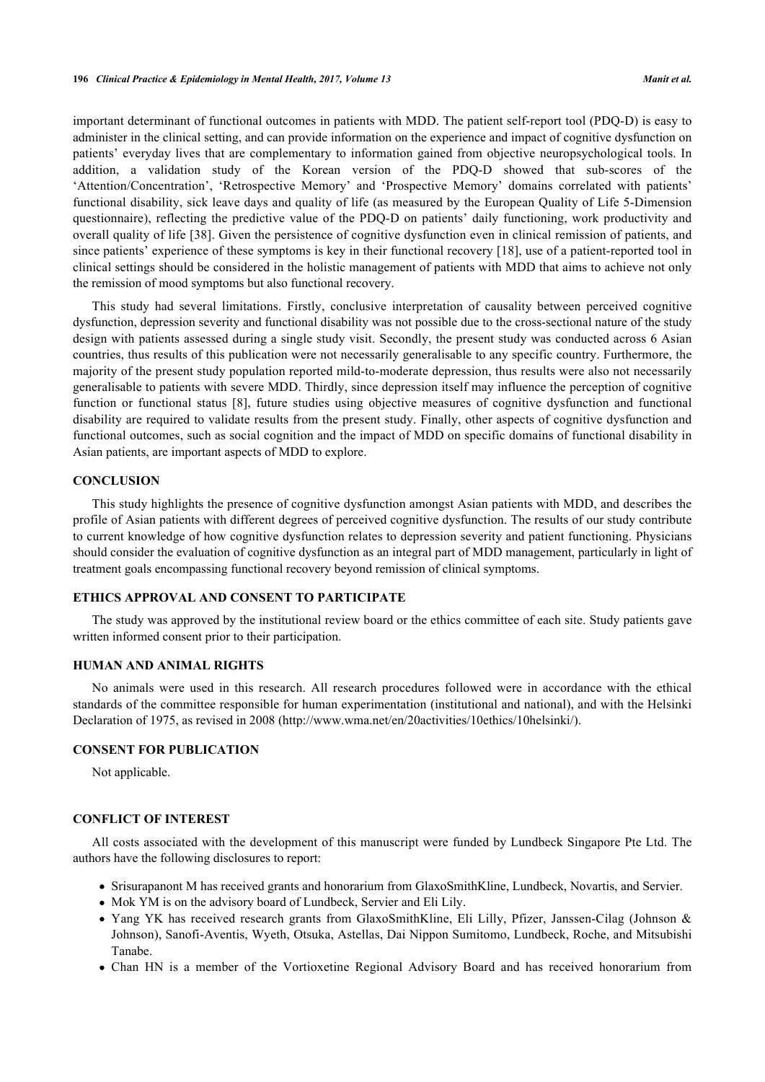important determinant of functional outcomes in patients with MDD. The patient self-report tool (PDQ-D) is easy to administer in the clinical setting, and can provide information on the experience and impact of cognitive dysfunction on patients' everyday lives that are complementary to information gained from objective neuropsychological tools. In addition, a validation study of the Korean version of the PDQ-D showed that sub-scores of the 'Attention/Concentration', 'Retrospective Memory' and 'Prospective Memory' domains correlated with patients' functional disability, sick leave days and quality of life (as measured by the European Quality of Life 5-Dimension questionnaire), reflecting the predictive value of the PDQ-D on patients' daily functioning, work productivity and overall quality of life [[38](#page-14-5)]. Given the persistence of cognitive dysfunction even in clinical remission of patients, and since patients' experience of these symptoms is key in their functional recovery [[18](#page-13-6)], use of a patient-reported tool in clinical settings should be considered in the holistic management of patients with MDD that aims to achieve not only the remission of mood symptoms but also functional recovery.

This study had several limitations. Firstly, conclusive interpretation of causality between perceived cognitive dysfunction, depression severity and functional disability was not possible due to the cross-sectional nature of the study design with patients assessed during a single study visit. Secondly, the present study was conducted across 6 Asian countries, thus results of this publication were not necessarily generalisable to any specific country. Furthermore, the majority of the present study population reported mild-to-moderate depression, thus results were also not necessarily generalisable to patients with severe MDD. Thirdly, since depression itself may influence the perception of cognitive function or functional status [\[8](#page-12-7)], future studies using objective measures of cognitive dysfunction and functional disability are required to validate results from the present study. Finally, other aspects of cognitive dysfunction and functional outcomes, such as social cognition and the impact of MDD on specific domains of functional disability in Asian patients, are important aspects of MDD to explore.

### **CONCLUSION**

This study highlights the presence of cognitive dysfunction amongst Asian patients with MDD, and describes the profile of Asian patients with different degrees of perceived cognitive dysfunction. The results of our study contribute to current knowledge of how cognitive dysfunction relates to depression severity and patient functioning. Physicians should consider the evaluation of cognitive dysfunction as an integral part of MDD management, particularly in light of treatment goals encompassing functional recovery beyond remission of clinical symptoms.

## **ETHICS APPROVAL AND CONSENT TO PARTICIPATE**

The study was approved by the institutional review board or the ethics committee of each site. Study patients gave written informed consent prior to their participation.

#### **HUMAN AND ANIMAL RIGHTS**

No animals were used in this research. All research procedures followed were in accordance with the ethical standards of the committee responsible for human experimentation (institutional and national), and with the Helsinki Declaration of 1975, as revised in 2008 (http://www.wma.net/en/20activities/10ethics/10helsinki/).

## **CONSENT FOR PUBLICATION**

Not applicable.

#### **CONFLICT OF INTEREST**

All costs associated with the development of this manuscript were funded by Lundbeck Singapore Pte Ltd. The authors have the following disclosures to report:

- Srisurapanont M has received grants and honorarium from GlaxoSmithKline, Lundbeck, Novartis, and Servier.
- Mok YM is on the advisory board of Lundbeck, Servier and Eli Lily.
- Yang YK has received research grants from GlaxoSmithKline, Eli Lilly, Pfizer, Janssen-Cilag (Johnson & Johnson), Sanofi-Aventis, Wyeth, Otsuka, Astellas, Dai Nippon Sumitomo, Lundbeck, Roche, and Mitsubishi Tanabe.
- Chan HN is a member of the Vortioxetine Regional Advisory Board and has received honorarium from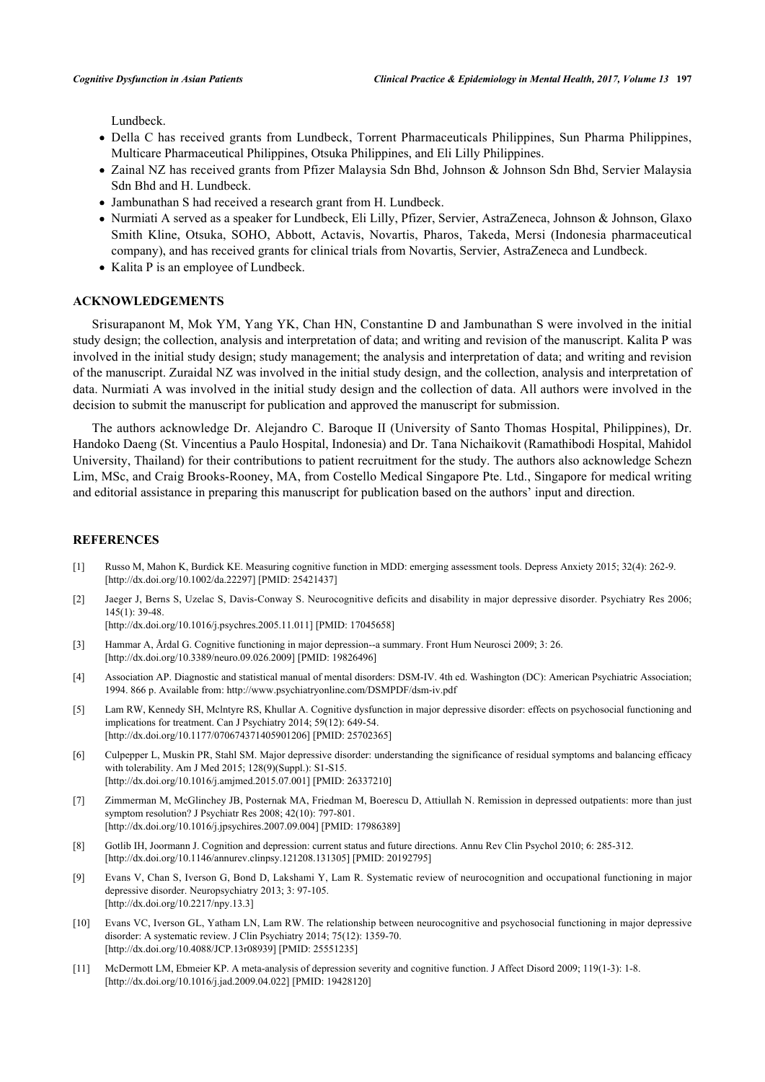Lundbeck.

- Della C has received grants from Lundbeck, Torrent Pharmaceuticals Philippines, Sun Pharma Philippines, Multicare Pharmaceutical Philippines, Otsuka Philippines, and Eli Lilly Philippines.
- Zainal NZ has received grants from Pfizer Malaysia Sdn Bhd, Johnson & Johnson Sdn Bhd, Servier Malaysia Sdn Bhd and H. Lundbeck.
- Jambunathan S had received a research grant from H. Lundbeck.
- Nurmiati A served as a speaker for Lundbeck, Eli Lilly, Pfizer, Servier, AstraZeneca, Johnson & Johnson, Glaxo Smith Kline, Otsuka, SOHO, Abbott, Actavis, Novartis, Pharos, Takeda, Mersi (Indonesia pharmaceutical company), and has received grants for clinical trials from Novartis, Servier, AstraZeneca and Lundbeck.
- Kalita P is an employee of Lundbeck.

## **ACKNOWLEDGEMENTS**

Srisurapanont M, Mok YM, Yang YK, Chan HN, Constantine D and Jambunathan S were involved in the initial study design; the collection, analysis and interpretation of data; and writing and revision of the manuscript. Kalita P was involved in the initial study design; study management; the analysis and interpretation of data; and writing and revision of the manuscript. Zuraidal NZ was involved in the initial study design, and the collection, analysis and interpretation of data. Nurmiati A was involved in the initial study design and the collection of data. All authors were involved in the decision to submit the manuscript for publication and approved the manuscript for submission.

The authors acknowledge Dr. Alejandro C. Baroque II (University of Santo Thomas Hospital, Philippines), Dr. Handoko Daeng (St. Vincentius a Paulo Hospital, Indonesia) and Dr. Tana Nichaikovit (Ramathibodi Hospital, Mahidol University, Thailand) for their contributions to patient recruitment for the study. The authors also acknowledge Schezn Lim, MSc, and Craig Brooks-Rooney, MA, from Costello Medical Singapore Pte. Ltd., Singapore for medical writing and editorial assistance in preparing this manuscript for publication based on the authors' input and direction.

#### **REFERENCES**

- <span id="page-12-0"></span>[1] Russo M, Mahon K, Burdick KE. Measuring cognitive function in MDD: emerging assessment tools. Depress Anxiety 2015; 32(4): 262-9. [\[http://dx.doi.org/10.1002/da.22297](http://dx.doi.org/10.1002/da.22297)] [PMID: [25421437\]](http://www.ncbi.nlm.nih.gov/pubmed/25421437)
- <span id="page-12-1"></span>[2] Jaeger J, Berns S, Uzelac S, Davis-Conway S. Neurocognitive deficits and disability in major depressive disorder. Psychiatry Res 2006; 145(1): 39-48.

[\[http://dx.doi.org/10.1016/j.psychres.2005.11.011](http://dx.doi.org/10.1016/j.psychres.2005.11.011)] [PMID: [17045658\]](http://www.ncbi.nlm.nih.gov/pubmed/17045658)

- <span id="page-12-2"></span>[3] Hammar A, Årdal G. Cognitive functioning in major depression--a summary. Front Hum Neurosci 2009; 3: 26. [\[http://dx.doi.org/10.3389/neuro.09.026.2009](http://dx.doi.org/10.3389/neuro.09.026.2009)] [PMID: [19826496\]](http://www.ncbi.nlm.nih.gov/pubmed/19826496)
- <span id="page-12-3"></span>[4] Association AP. Diagnostic and statistical manual of mental disorders: DSM-IV. 4th ed. Washington (DC): American Psychiatric Association; 1994. 866 p. Available from: <http://www.psychiatryonline.com/DSMPDF/dsm-iv.pdf>
- <span id="page-12-4"></span>[5] Lam RW, Kennedy SH, Mclntyre RS, Khullar A. Cognitive dysfunction in major depressive disorder: effects on psychosocial functioning and implications for treatment. Can J Psychiatry 2014; 59(12): 649-54. [\[http://dx.doi.org/10.1177/070674371405901206\]](http://dx.doi.org/10.1177/070674371405901206) [PMID: [25702365](http://www.ncbi.nlm.nih.gov/pubmed/25702365)]
- <span id="page-12-5"></span>[6] Culpepper L, Muskin PR, Stahl SM. Major depressive disorder: understanding the significance of residual symptoms and balancing efficacy with tolerability. Am J Med 2015; 128(9)(Suppl.): S1-S15. [\[http://dx.doi.org/10.1016/j.amjmed.2015.07.001\]](http://dx.doi.org/10.1016/j.amjmed.2015.07.001) [PMID: [26337210](http://www.ncbi.nlm.nih.gov/pubmed/26337210)]
- <span id="page-12-6"></span>[7] Zimmerman M, McGlinchey JB, Posternak MA, Friedman M, Boerescu D, Attiullah N. Remission in depressed outpatients: more than just symptom resolution? J Psychiatr Res 2008; 42(10): 797-801. [\[http://dx.doi.org/10.1016/j.jpsychires.2007.09.004](http://dx.doi.org/10.1016/j.jpsychires.2007.09.004)] [PMID: [17986389](http://www.ncbi.nlm.nih.gov/pubmed/17986389)]
- <span id="page-12-7"></span>[8] Gotlib IH, Joormann J. Cognition and depression: current status and future directions. Annu Rev Clin Psychol 2010; 6: 285-312. [\[http://dx.doi.org/10.1146/annurev.clinpsy.121208.131305\]](http://dx.doi.org/10.1146/annurev.clinpsy.121208.131305) [PMID: [20192795](http://www.ncbi.nlm.nih.gov/pubmed/20192795)]
- <span id="page-12-8"></span>[9] Evans V, Chan S, Iverson G, Bond D, Lakshami Y, Lam R. Systematic review of neurocognition and occupational functioning in major depressive disorder. Neuropsychiatry 2013; 3: 97-105. [\[http://dx.doi.org/10.2217/npy.13.3\]](http://dx.doi.org/10.2217/npy.13.3)
- [10] Evans VC, Iverson GL, Yatham LN, Lam RW. The relationship between neurocognitive and psychosocial functioning in major depressive disorder: A systematic review. J Clin Psychiatry 2014; 75(12): 1359-70. [\[http://dx.doi.org/10.4088/JCP.13r08939](http://dx.doi.org/10.4088/JCP.13r08939)] [PMID: [25551235\]](http://www.ncbi.nlm.nih.gov/pubmed/25551235)
- <span id="page-12-9"></span>[11] McDermott LM, Ebmeier KP. A meta-analysis of depression severity and cognitive function. J Affect Disord 2009; 119(1-3): 1-8. [\[http://dx.doi.org/10.1016/j.jad.2009.04.022\]](http://dx.doi.org/10.1016/j.jad.2009.04.022) [PMID: [19428120](http://www.ncbi.nlm.nih.gov/pubmed/19428120)]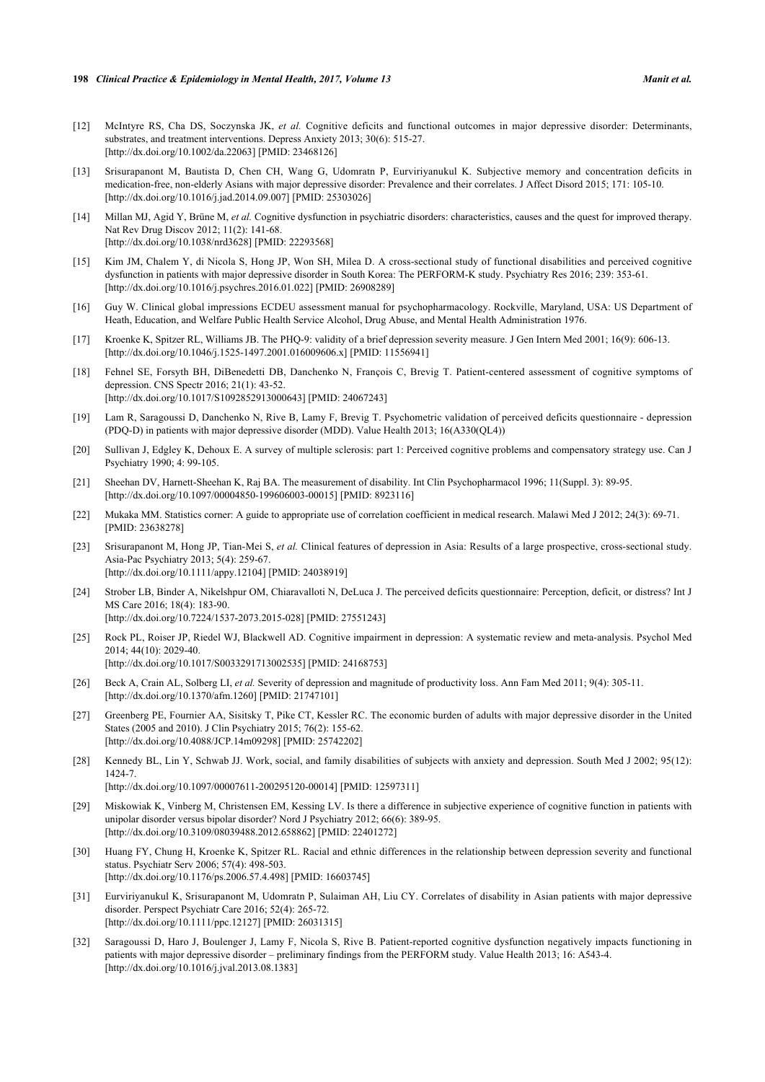- <span id="page-13-0"></span>[12] McIntyre RS, Cha DS, Soczynska JK, *et al.* Cognitive deficits and functional outcomes in major depressive disorder: Determinants, substrates, and treatment interventions. Depress Anxiety 2013; 30(6): 515-27. [\[http://dx.doi.org/10.1002/da.22063](http://dx.doi.org/10.1002/da.22063)] [PMID: [23468126\]](http://www.ncbi.nlm.nih.gov/pubmed/23468126)
- <span id="page-13-1"></span>[13] Srisurapanont M, Bautista D, Chen CH, Wang G, Udomratn P, Eurviriyanukul K. Subjective memory and concentration deficits in medication-free, non-elderly Asians with major depressive disorder: Prevalence and their correlates. J Affect Disord 2015; 171: 105-10. [\[http://dx.doi.org/10.1016/j.jad.2014.09.007\]](http://dx.doi.org/10.1016/j.jad.2014.09.007) [PMID: [25303026](http://www.ncbi.nlm.nih.gov/pubmed/25303026)]
- <span id="page-13-2"></span>[14] Millan MJ, Agid Y, Brüne M, *et al.* Cognitive dysfunction in psychiatric disorders: characteristics, causes and the quest for improved therapy. Nat Rev Drug Discov 2012; 11(2): 141-68. [\[http://dx.doi.org/10.1038/nrd3628](http://dx.doi.org/10.1038/nrd3628)] [PMID: [22293568](http://www.ncbi.nlm.nih.gov/pubmed/22293568)]
- <span id="page-13-3"></span>[15] Kim JM, Chalem Y, di Nicola S, Hong JP, Won SH, Milea D. A cross-sectional study of functional disabilities and perceived cognitive dysfunction in patients with major depressive disorder in South Korea: The PERFORM-K study. Psychiatry Res 2016; 239: 353-61. [\[http://dx.doi.org/10.1016/j.psychres.2016.01.022](http://dx.doi.org/10.1016/j.psychres.2016.01.022)] [PMID: [26908289\]](http://www.ncbi.nlm.nih.gov/pubmed/26908289)
- <span id="page-13-4"></span>[16] Guy W. Clinical global impressions ECDEU assessment manual for psychopharmacology. Rockville, Maryland, USA: US Department of Heath, Education, and Welfare Public Health Service Alcohol, Drug Abuse, and Mental Health Administration 1976.
- <span id="page-13-5"></span>[17] Kroenke K, Spitzer RL, Williams JB. The PHQ-9: validity of a brief depression severity measure. J Gen Intern Med 2001; 16(9): 606-13. [\[http://dx.doi.org/10.1046/j.1525-1497.2001.016009606.x\]](http://dx.doi.org/10.1046/j.1525-1497.2001.016009606.x) [PMID: [11556941](http://www.ncbi.nlm.nih.gov/pubmed/11556941)]
- <span id="page-13-6"></span>[18] Fehnel SE, Forsyth BH, DiBenedetti DB, Danchenko N, François C, Brevig T. Patient-centered assessment of cognitive symptoms of depression. CNS Spectr 2016; 21(1): 43-52. [\[http://dx.doi.org/10.1017/S1092852913000643](http://dx.doi.org/10.1017/S1092852913000643)] [PMID: [24067243\]](http://www.ncbi.nlm.nih.gov/pubmed/24067243)
- [19] Lam R, Saragoussi D, Danchenko N, Rive B, Lamy F, Brevig T. Psychometric validation of perceived deficits questionnaire depression (PDQ-D) in patients with major depressive disorder (MDD). Value Health 2013; 16(A330(QL4))
- <span id="page-13-7"></span>[20] Sullivan J, Edgley K, Dehoux E. A survey of multiple sclerosis: part 1: Perceived cognitive problems and compensatory strategy use. Can J Psychiatry 1990; 4: 99-105.
- <span id="page-13-8"></span>[21] Sheehan DV, Harnett-Sheehan K, Raj BA. The measurement of disability. Int Clin Psychopharmacol 1996; 11(Suppl. 3): 89-95. [\[http://dx.doi.org/10.1097/00004850-199606003-00015](http://dx.doi.org/10.1097/00004850-199606003-00015)] [PMID: [8923116\]](http://www.ncbi.nlm.nih.gov/pubmed/8923116)
- <span id="page-13-9"></span>[22] Mukaka MM. Statistics corner: A guide to appropriate use of correlation coefficient in medical research. Malawi Med J 2012; 24(3): 69-71. [PMID: [23638278\]](http://www.ncbi.nlm.nih.gov/pubmed/23638278)
- <span id="page-13-10"></span>[23] Srisurapanont M, Hong JP, Tian-Mei S, *et al.* Clinical features of depression in Asia: Results of a large prospective, cross-sectional study. Asia-Pac Psychiatry 2013; 5(4): 259-67. [\[http://dx.doi.org/10.1111/appy.12104](http://dx.doi.org/10.1111/appy.12104)] [PMID: [24038919\]](http://www.ncbi.nlm.nih.gov/pubmed/24038919)
- <span id="page-13-11"></span>[24] Strober LB, Binder A, Nikelshpur OM, Chiaravalloti N, DeLuca J. The perceived deficits questionnaire: Perception, deficit, or distress? Int J MS Care 2016; 18(4): 183-90. [\[http://dx.doi.org/10.7224/1537-2073.2015-028](http://dx.doi.org/10.7224/1537-2073.2015-028)] [PMID: [27551243\]](http://www.ncbi.nlm.nih.gov/pubmed/27551243)
- <span id="page-13-12"></span>[25] Rock PL, Roiser JP, Riedel WJ, Blackwell AD. Cognitive impairment in depression: A systematic review and meta-analysis. Psychol Med 2014; 44(10): 2029-40. [\[http://dx.doi.org/10.1017/S0033291713002535](http://dx.doi.org/10.1017/S0033291713002535)] [PMID: [24168753\]](http://www.ncbi.nlm.nih.gov/pubmed/24168753)
- <span id="page-13-13"></span>[26] Beck A, Crain AL, Solberg LI, *et al.* Severity of depression and magnitude of productivity loss. Ann Fam Med 2011; 9(4): 305-11. [\[http://dx.doi.org/10.1370/afm.1260](http://dx.doi.org/10.1370/afm.1260)] [PMID: [21747101\]](http://www.ncbi.nlm.nih.gov/pubmed/21747101)
- <span id="page-13-14"></span>[27] Greenberg PE, Fournier AA, Sisitsky T, Pike CT, Kessler RC. The economic burden of adults with major depressive disorder in the United States (2005 and 2010). J Clin Psychiatry 2015; 76(2): 155-62. [\[http://dx.doi.org/10.4088/JCP.14m09298\]](http://dx.doi.org/10.4088/JCP.14m09298) [PMID: [25742202](http://www.ncbi.nlm.nih.gov/pubmed/25742202)]
- <span id="page-13-15"></span>[28] Kennedy BL, Lin Y, Schwab JJ. Work, social, and family disabilities of subjects with anxiety and depression. South Med J 2002; 95(12): 1424-7. [\[http://dx.doi.org/10.1097/00007611-200295120-00014](http://dx.doi.org/10.1097/00007611-200295120-00014)] [PMID: [12597311\]](http://www.ncbi.nlm.nih.gov/pubmed/12597311)
- <span id="page-13-16"></span>[29] Miskowiak K, Vinberg M, Christensen EM, Kessing LV. Is there a difference in subjective experience of cognitive function in patients with unipolar disorder versus bipolar disorder? Nord J Psychiatry 2012; 66(6): 389-95.

[\[http://dx.doi.org/10.1176/ps.2006.57.4.498\]](http://dx.doi.org/10.1176/ps.2006.57.4.498) [PMID: [16603745](http://www.ncbi.nlm.nih.gov/pubmed/16603745)]

- <span id="page-13-17"></span>[\[http://dx.doi.org/10.3109/08039488.2012.658862\]](http://dx.doi.org/10.3109/08039488.2012.658862) [PMID: [22401272](http://www.ncbi.nlm.nih.gov/pubmed/22401272)] [30] Huang FY, Chung H, Kroenke K, Spitzer RL. Racial and ethnic differences in the relationship between depression severity and functional status. Psychiatr Serv 2006; 57(4): 498-503.
- <span id="page-13-18"></span>[31] Eurviriyanukul K, Srisurapanont M, Udomratn P, Sulaiman AH, Liu CY. Correlates of disability in Asian patients with major depressive disorder. Perspect Psychiatr Care 2016; 52(4): 265-72. [\[http://dx.doi.org/10.1111/ppc.12127](http://dx.doi.org/10.1111/ppc.12127)] [PMID: [26031315\]](http://www.ncbi.nlm.nih.gov/pubmed/26031315)
- <span id="page-13-19"></span>[32] Saragoussi D, Haro J, Boulenger J, Lamy F, Nicola S, Rive B. Patient-reported cognitive dysfunction negatively impacts functioning in patients with major depressive disorder – preliminary findings from the PERFORM study. Value Health 2013; 16: A543-4. [\[http://dx.doi.org/10.1016/j.jval.2013.08.1383](http://dx.doi.org/10.1016/j.jval.2013.08.1383)]